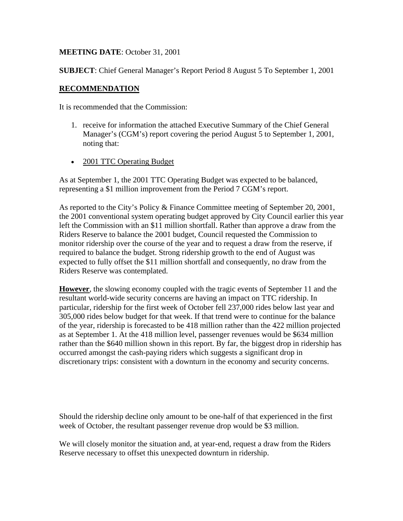### **MEETING DATE**: October 31, 2001

**SUBJECT**: Chief General Manager's Report Period 8 August 5 To September 1, 2001

#### **RECOMMENDATION**

It is recommended that the Commission:

- 1. receive for information the attached Executive Summary of the Chief General Manager's (CGM's) report covering the period August 5 to September 1, 2001, noting that:
- 2001 TTC Operating Budget

As at September 1, the 2001 TTC Operating Budget was expected to be balanced, representing a \$1 million improvement from the Period 7 CGM's report.

As reported to the City's Policy & Finance Committee meeting of September 20, 2001, the 2001 conventional system operating budget approved by City Council earlier this year left the Commission with an \$11 million shortfall. Rather than approve a draw from the Riders Reserve to balance the 2001 budget, Council requested the Commission to monitor ridership over the course of the year and to request a draw from the reserve, if required to balance the budget. Strong ridership growth to the end of August was expected to fully offset the \$11 million shortfall and consequently, no draw from the Riders Reserve was contemplated.

**However**, the slowing economy coupled with the tragic events of September 11 and the resultant world-wide security concerns are having an impact on TTC ridership. In particular, ridership for the first week of October fell 237,000 rides below last year and 305,000 rides below budget for that week. If that trend were to continue for the balance of the year, ridership is forecasted to be 418 million rather than the 422 million projected as at September 1. At the 418 million level, passenger revenues would be \$634 million rather than the \$640 million shown in this report. By far, the biggest drop in ridership has occurred amongst the cash-paying riders which suggests a significant drop in discretionary trips: consistent with a downturn in the economy and security concerns.

Should the ridership decline only amount to be one-half of that experienced in the first week of October, the resultant passenger revenue drop would be \$3 million.

We will closely monitor the situation and, at year-end, request a draw from the Riders Reserve necessary to offset this unexpected downturn in ridership.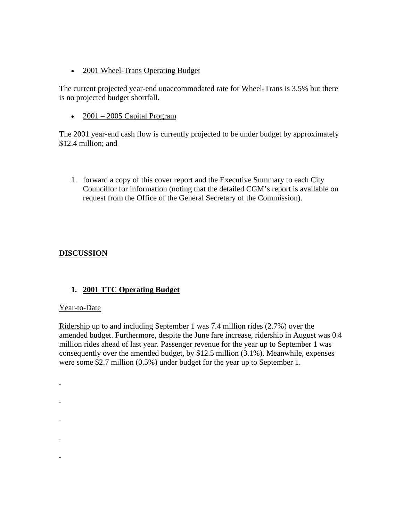• 2001 Wheel-Trans Operating Budget

The current projected year-end unaccommodated rate for Wheel-Trans is 3.5% but there is no projected budget shortfall.

•  $2001 - 2005$  Capital Program

The 2001 year-end cash flow is currently projected to be under budget by approximately \$12.4 million; and

1. forward a copy of this cover report and the Executive Summary to each City Councillor for information (noting that the detailed CGM's report is available on request from the Office of the General Secretary of the Commission).

### **DISCUSSION**

### **1. 2001 TTC Operating Budget**

### Year-to-Date

L,

÷.

 $\overline{a}$ 

Ridership up to and including September 1 was 7.4 million rides (2.7%) over the amended budget. Furthermore, despite the June fare increase, ridership in August was 0.4 million rides ahead of last year. Passenger revenue for the year up to September 1 was consequently over the amended budget, by \$12.5 million (3.1%). Meanwhile, expenses were some \$2.7 million (0.5%) under budget for the year up to September 1.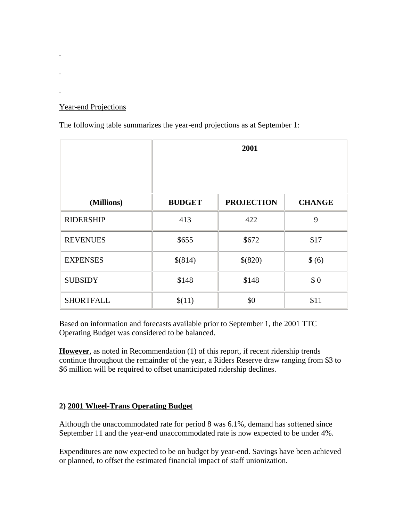## Year-end Projections

÷.

÷.

The following table summarizes the year-end projections as at September 1:

|                  | 2001          |                   |               |
|------------------|---------------|-------------------|---------------|
|                  |               |                   |               |
| (Millions)       | <b>BUDGET</b> | <b>PROJECTION</b> | <b>CHANGE</b> |
| <b>RIDERSHIP</b> | 413           | 422               | 9             |
| <b>REVENUES</b>  | \$655         | \$672             | \$17          |
| <b>EXPENSES</b>  | \$(814)       | \$(820)           | $\frac{6}{6}$ |
| <b>SUBSIDY</b>   | \$148         | \$148             | \$0           |
| <b>SHORTFALL</b> | \$(11)        | \$0               | \$11          |

Based on information and forecasts available prior to September 1, the 2001 TTC Operating Budget was considered to be balanced.

**However**, as noted in Recommendation (1) of this report, if recent ridership trends continue throughout the remainder of the year, a Riders Reserve draw ranging from \$3 to \$6 million will be required to offset unanticipated ridership declines.

### **2) 2001 Wheel-Trans Operating Budget**

Although the unaccommodated rate for period 8 was 6.1%, demand has softened since September 11 and the year-end unaccommodated rate is now expected to be under 4%.

Expenditures are now expected to be on budget by year-end. Savings have been achieved or planned, to offset the estimated financial impact of staff unionization.